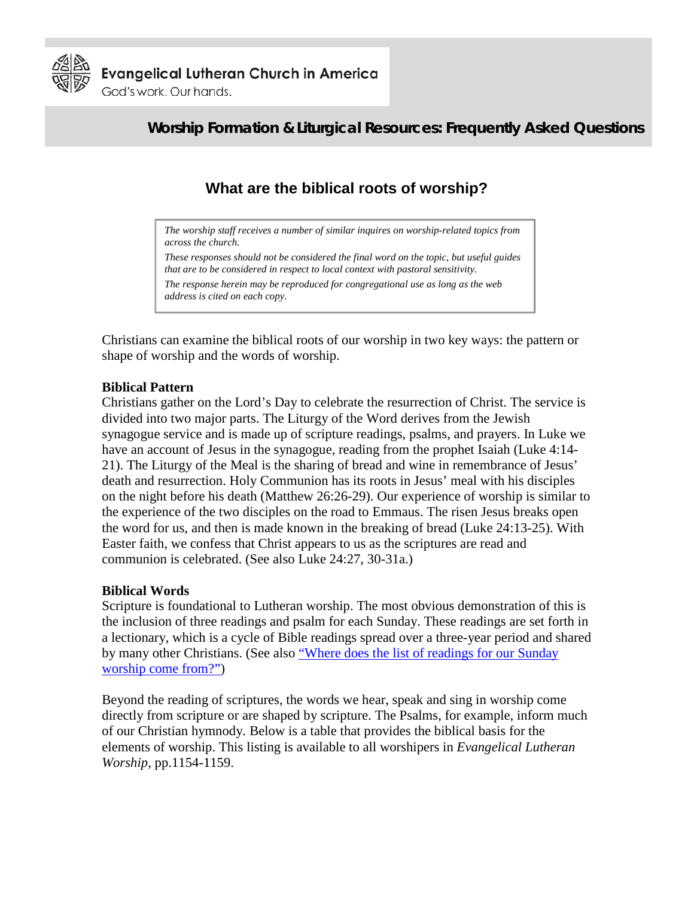

# **Worship Formation & Liturgical Resources: Frequently Asked Questions**

# **What are the biblical roots of worship?**

*The worship staff receives a number of similar inquires on worship-related topics from across the church.* 

*These responses should not be considered the final word on the topic, but useful guides that are to be considered in respect to local context with pastoral sensitivity.* 

*The response herein may be reproduced for congregational use as long as the web address is cited on each copy.* 

Christians can examine the biblical roots of our worship in two key ways: the pattern or shape of worship and the words of worship.

# **Biblical Pattern**

Christians gather on the Lord's Day to celebrate the resurrection of Christ. The service is divided into two major parts. The Liturgy of the Word derives from the Jewish synagogue service and is made up of scripture readings, psalms, and prayers. In Luke we have an account of Jesus in the synagogue, reading from the prophet Isaiah (Luke 4:14- 21). The Liturgy of the Meal is the sharing of bread and wine in remembrance of Jesus' death and resurrection. Holy Communion has its roots in Jesus' meal with his disciples on the night before his death (Matthew 26:26-29). Our experience of worship is similar to the experience of the two disciples on the road to Emmaus. The risen Jesus breaks open the word for us, and then is made known in the breaking of bread (Luke 24:13-25). With Easter faith, we confess that Christ appears to us as the scriptures are read and communion is celebrated. (See also Luke 24:27, 30-31a.)

## **Biblical Words**

Scripture is foundational to Lutheran worship. The most obvious demonstration of this is the inclusion of three readings and psalm for each Sunday. These readings are set forth in a lectionary, which is a cycle of Bible readings spread over a three-year period and shared by many other Christians. (See also ["Where does the list of readings for our Sunday](http://www.elca.org/worshipfaq)  [worship come from?"\)](http://www.elca.org/worshipfaq)

Beyond the reading of scriptures, the words we hear, speak and sing in worship come directly from scripture or are shaped by scripture. The Psalms, for example, inform much of our Christian hymnody. Below is a table that provides the biblical basis for the elements of worship. This listing is available to all worshipers in *Evangelical Lutheran Worship*, pp.1154-1159.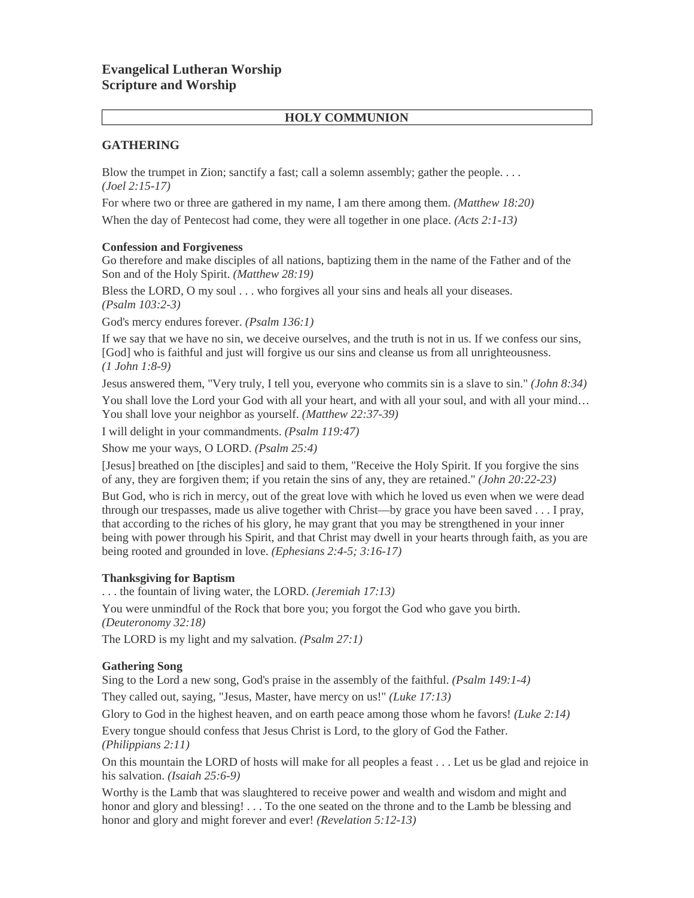# **Evangelical Lutheran Worship Scripture and Worship**

## **HOLY COMMUNION**

## **GATHERING**

Blow the trumpet in Zion; sanctify a fast; call a solemn assembly; gather the people. . . . *(Joel 2:15-17)*

For where two or three are gathered in my name, I am there among them. *(Matthew 18:20)*

When the day of Pentecost had come, they were all together in one place. *(Acts 2:1-13)*

## **Confession and Forgiveness**

Go therefore and make disciples of all nations, baptizing them in the name of the Father and of the Son and of the Holy Spirit. *(Matthew 28:19)*

Bless the LORD, O my soul . . . who forgives all your sins and heals all your diseases. *(Psalm 103:2-3)*

God's mercy endures forever. *(Psalm 136:1)*

If we say that we have no sin, we deceive ourselves, and the truth is not in us. If we confess our sins, [God] who is faithful and just will forgive us our sins and cleanse us from all unrighteousness. *(1 John 1:8-9)*

Jesus answered them, "Very truly, I tell you, everyone who commits sin is a slave to sin." *(John 8:34)* You shall love the Lord your God with all your heart, and with all your soul, and with all your mind... You shall love your neighbor as yourself. *(Matthew 22:37-39)*

I will delight in your commandments. *(Psalm 119:47)*

Show me your ways, O LORD. *(Psalm 25:4)*

[Jesus] breathed on [the disciples] and said to them, "Receive the Holy Spirit. If you forgive the sins of any, they are forgiven them; if you retain the sins of any, they are retained." *(John 20:22-23)*

But God, who is rich in mercy, out of the great love with which he loved us even when we were dead through our trespasses, made us alive together with Christ—by grace you have been saved . . . I pray, that according to the riches of his glory, he may grant that you may be strengthened in your inner being with power through his Spirit, and that Christ may dwell in your hearts through faith, as you are being rooted and grounded in love. *(Ephesians 2:4-5; 3:16-17)*

## **Thanksgiving for Baptism**

. . . the fountain of living water, the LORD. *(Jeremiah 17:13)*

You were unmindful of the Rock that bore you; you forgot the God who gave you birth. *(Deuteronomy 32:18)*

The LORD is my light and my salvation. *(Psalm 27:1)*

## **Gathering Song**

Sing to the Lord a new song, God's praise in the assembly of the faithful. *(Psalm 149:1-4)*

They called out, saying, "Jesus, Master, have mercy on us!" *(Luke 17:13)*

Glory to God in the highest heaven, and on earth peace among those whom he favors! *(Luke 2:14)*

Every tongue should confess that Jesus Christ is Lord, to the glory of God the Father. *(Philippians 2:11)*

On this mountain the LORD of hosts will make for all peoples a feast . . . Let us be glad and rejoice in his salvation. *(Isaiah 25:6-9)*

Worthy is the Lamb that was slaughtered to receive power and wealth and wisdom and might and honor and glory and blessing! . . . To the one seated on the throne and to the Lamb be blessing and honor and glory and might forever and ever! *(Revelation 5:12-13)*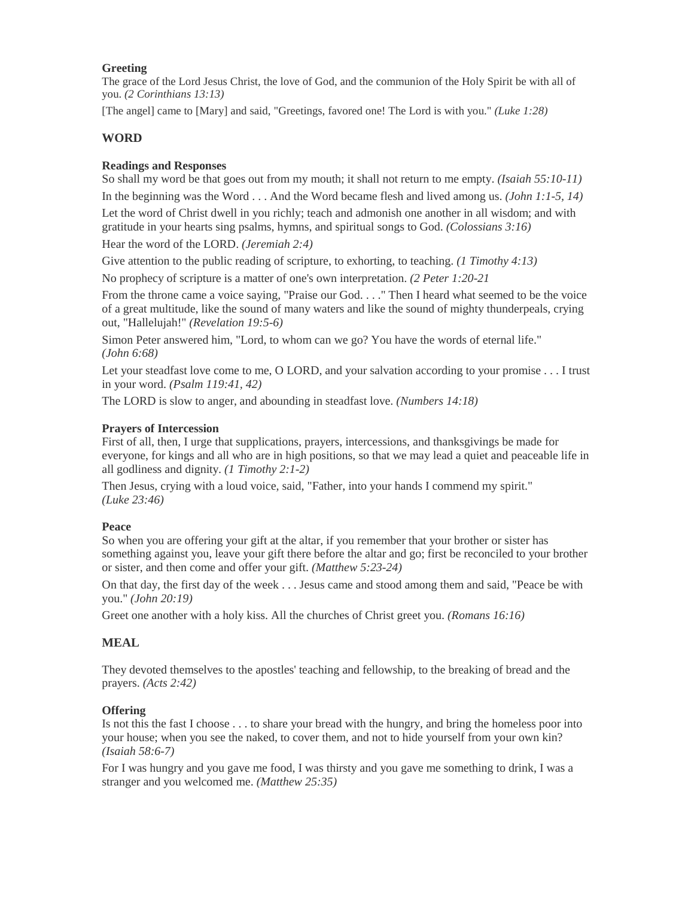### **Greeting**

The grace of the Lord Jesus Christ, the love of God, and the communion of the Holy Spirit be with all of you. *(2 Corinthians 13:13)*

[The angel] came to [Mary] and said, "Greetings, favored one! The Lord is with you." *(Luke 1:28)*

## **WORD**

## **Readings and Responses**

So shall my word be that goes out from my mouth; it shall not return to me empty. *(Isaiah 55:10-11)* In the beginning was the Word . . . And the Word became flesh and lived among us. *(John 1:1-5, 14)* Let the word of Christ dwell in you richly; teach and admonish one another in all wisdom; and with gratitude in your hearts sing psalms, hymns, and spiritual songs to God. *(Colossians 3:16)*

Hear the word of the LORD. *(Jeremiah 2:4)*

Give attention to the public reading of scripture, to exhorting, to teaching. *(1 Timothy 4:13)*

No prophecy of scripture is a matter of one's own interpretation. *(2 Peter 1:20-21* 

From the throne came a voice saying, "Praise our God. . . ." Then I heard what seemed to be the voice of a great multitude, like the sound of many waters and like the sound of mighty thunderpeals, crying out, "Hallelujah!" *(Revelation 19:5-6)*

Simon Peter answered him, "Lord, to whom can we go? You have the words of eternal life." *(John 6:68)*

Let your steadfast love come to me, O LORD, and your salvation according to your promise . . . I trust in your word. *(Psalm 119:41, 42)*

The LORD is slow to anger, and abounding in steadfast love. *(Numbers 14:18)*

### **Prayers of Intercession**

First of all, then, I urge that supplications, prayers, intercessions, and thanksgivings be made for everyone, for kings and all who are in high positions, so that we may lead a quiet and peaceable life in all godliness and dignity. *(1 Timothy 2:1-2)*

Then Jesus, crying with a loud voice, said, "Father, into your hands I commend my spirit." *(Luke 23:46)*

#### **Peace**

So when you are offering your gift at the altar, if you remember that your brother or sister has something against you, leave your gift there before the altar and go; first be reconciled to your brother or sister, and then come and offer your gift. *(Matthew 5:23-24)*

On that day, the first day of the week . . . Jesus came and stood among them and said, "Peace be with you." *(John 20:19)*

Greet one another with a holy kiss. All the churches of Christ greet you. *(Romans 16:16)*

## **MEAL**

They devoted themselves to the apostles' teaching and fellowship, to the breaking of bread and the prayers. *(Acts 2:42)*

## **Offering**

Is not this the fast I choose . . . to share your bread with the hungry, and bring the homeless poor into your house; when you see the naked, to cover them, and not to hide yourself from your own kin? *(Isaiah 58:6-7)*

For I was hungry and you gave me food, I was thirsty and you gave me something to drink, I was a stranger and you welcomed me. *(Matthew 25:35)*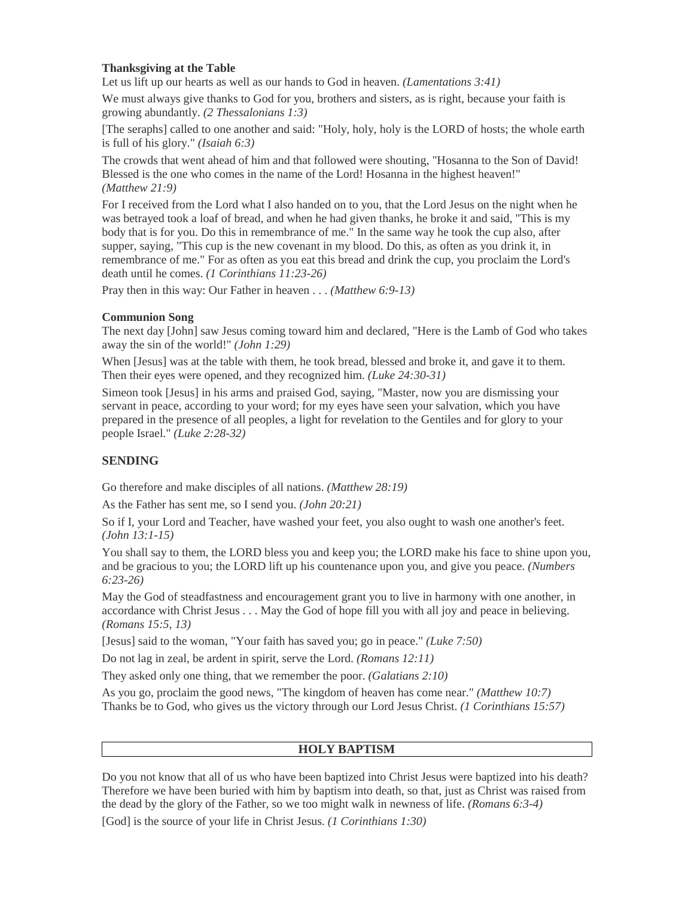## **Thanksgiving at the Table**

Let us lift up our hearts as well as our hands to God in heaven. *(Lamentations 3:41)*

We must always give thanks to God for you, brothers and sisters, as is right, because your faith is growing abundantly. *(2 Thessalonians 1:3)*

[The seraphs] called to one another and said: "Holy, holy, holy is the LORD of hosts; the whole earth is full of his glory." *(Isaiah 6:3)*

The crowds that went ahead of him and that followed were shouting, "Hosanna to the Son of David! Blessed is the one who comes in the name of the Lord! Hosanna in the highest heaven!" *(Matthew 21:9)*

For I received from the Lord what I also handed on to you, that the Lord Jesus on the night when he was betrayed took a loaf of bread, and when he had given thanks, he broke it and said, "This is my body that is for you. Do this in remembrance of me." In the same way he took the cup also, after supper, saying, "This cup is the new covenant in my blood. Do this, as often as you drink it, in remembrance of me." For as often as you eat this bread and drink the cup, you proclaim the Lord's death until he comes. *(1 Corinthians 11:23-26)*

Pray then in this way: Our Father in heaven . . . *(Matthew 6:9-13)*

#### **Communion Song**

The next day [John] saw Jesus coming toward him and declared, "Here is the Lamb of God who takes away the sin of the world!" *(John 1:29)*

When [Jesus] was at the table with them, he took bread, blessed and broke it, and gave it to them. Then their eyes were opened, and they recognized him. *(Luke 24:30-31)*

Simeon took [Jesus] in his arms and praised God, saying, "Master, now you are dismissing your servant in peace, according to your word; for my eyes have seen your salvation, which you have prepared in the presence of all peoples, a light for revelation to the Gentiles and for glory to your people Israel." *(Luke 2:28-32)*

#### **SENDING**

Go therefore and make disciples of all nations. *(Matthew 28:19)*

As the Father has sent me, so I send you. *(John 20:21)*

So if I, your Lord and Teacher, have washed your feet, you also ought to wash one another's feet. *(John 13:1-15)*

You shall say to them, the LORD bless you and keep you; the LORD make his face to shine upon you, and be gracious to you; the LORD lift up his countenance upon you, and give you peace. *(Numbers 6:23-26)*

May the God of steadfastness and encouragement grant you to live in harmony with one another, in accordance with Christ Jesus . . . May the God of hope fill you with all joy and peace in believing. *(Romans 15:5, 13)*

[Jesus] said to the woman, "Your faith has saved you; go in peace." *(Luke 7:50)*

Do not lag in zeal, be ardent in spirit, serve the Lord. *(Romans 12:11)*

They asked only one thing, that we remember the poor. *(Galatians 2:10)*

As you go, proclaim the good news, "The kingdom of heaven has come near." *(Matthew 10:7)* Thanks be to God, who gives us the victory through our Lord Jesus Christ. *(1 Corinthians 15:57)*

#### **HOLY BAPTISM**

Do you not know that all of us who have been baptized into Christ Jesus were baptized into his death? Therefore we have been buried with him by baptism into death, so that, just as Christ was raised from the dead by the glory of the Father, so we too might walk in newness of life. *(Romans 6:3-4)*

[God] is the source of your life in Christ Jesus. *(1 Corinthians 1:30)*